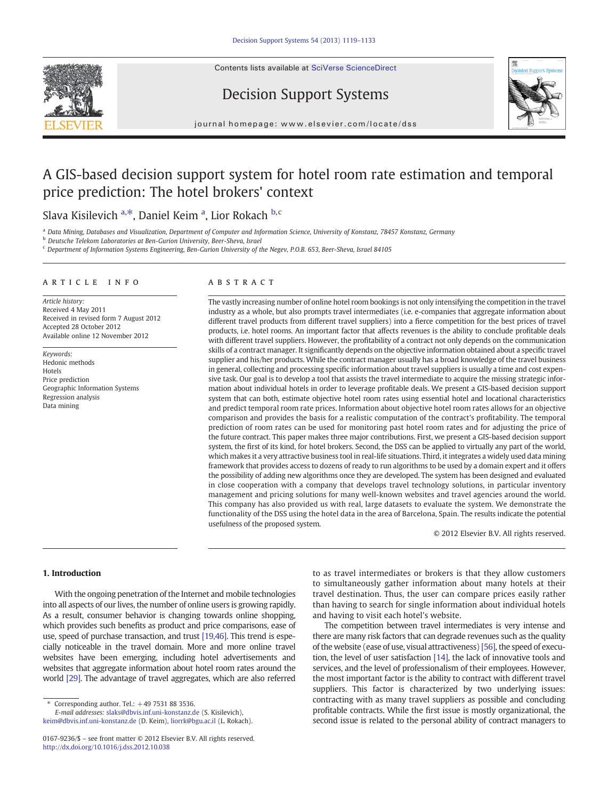Contents lists available at [SciVerse ScienceDirect](http://www.sciencedirect.com/science/journal/01679236)

<span id="page-0-0"></span>

## Decision Support Systems



journal homepage: www.elsevier.com/locate/dss

## A GIS-based decision support system for hotel room rate estimation and temporal price prediction: The hotel brokers' context

## Slava Kisilevich <sup>a,\*</sup>, Daniel Keim <sup>a</sup>, Lior Rokach <sup>b,c</sup>

a Data Mining, Databases and Visualization, Department of Computer and Information Science, University of Konstanz, 78457 Konstanz, Germany

<sup>b</sup> Deutsche Telekom Laboratories at Ben-Gurion University, Beer-Sheva, Israel

<sup>c</sup> Department of Information Systems Engineering, Ben-Gurion University of the Negev, P.O.B. 653, Beer-Sheva, Israel 84105

### ARTICLE INFO ABSTRACT

Article history: Received 4 May 2011 Received in revised form 7 August 2012 Accepted 28 October 2012 Available online 12 November 2012

Keywords: Hedonic methods Hotels Price prediction Geographic Information Systems Regression analysis Data mining

The vastly increasing number of online hotel room bookings is not only intensifying the competition in the travel industry as a whole, but also prompts travel intermediates (i.e. e-companies that aggregate information about different travel products from different travel suppliers) into a fierce competition for the best prices of travel products, i.e. hotel rooms. An important factor that affects revenues is the ability to conclude profitable deals with different travel suppliers. However, the profitability of a contract not only depends on the communication skills of a contract manager. It significantly depends on the objective information obtained about a specific travel supplier and his/her products. While the contract manager usually has a broad knowledge of the travel business in general, collecting and processing specific information about travel suppliers is usually a time and cost expensive task. Our goal is to develop a tool that assists the travel intermediate to acquire the missing strategic information about individual hotels in order to leverage profitable deals. We present a GIS-based decision support system that can both, estimate objective hotel room rates using essential hotel and locational characteristics and predict temporal room rate prices. Information about objective hotel room rates allows for an objective comparison and provides the basis for a realistic computation of the contract's profitability. The temporal prediction of room rates can be used for monitoring past hotel room rates and for adjusting the price of the future contract. This paper makes three major contributions. First, we present a GIS-based decision support system, the first of its kind, for hotel brokers. Second, the DSS can be applied to virtually any part of the world, which makes it a very attractive business tool in real-life situations. Third, it integrates a widely used data mining framework that provides access to dozens of ready to run algorithms to be used by a domain expert and it offers the possibility of adding new algorithms once they are developed. The system has been designed and evaluated in close cooperation with a company that develops travel technology solutions, in particular inventory management and pricing solutions for many well-known websites and travel agencies around the world. This company has also provided us with real, large datasets to evaluate the system. We demonstrate the functionality of the DSS using the hotel data in the area of Barcelona, Spain. The results indicate the potential usefulness of the proposed system.

© 2012 Elsevier B.V. All rights reserved.

### 1. Introduction

With the ongoing penetration of the Internet and mobile technologies into all aspects of our lives, the number of online users is growing rapidly. As a result, consumer behavior is changing towards online shopping, which provides such benefits as product and price comparisons, ease of use, speed of purchase transaction, and trust [\[19,46\].](#page--1-0) This trend is especially noticeable in the travel domain. More and more online travel websites have been emerging, including hotel advertisements and websites that aggregate information about hotel room rates around the world [\[29\].](#page--1-0) The advantage of travel aggregates, which are also referred

⁎ Corresponding author. Tel.: +49 7531 88 3536.

E-mail addresses: [slaks@dbvis.inf.uni-konstanz.de](mailto:slaks@dbvis.inf.uni-konstanz.de) (S. Kisilevich), [keim@dbvis.inf.uni-konstanz.de](mailto:keim@dbvis.inf.uni-konstanz.de) (D. Keim), [liorrk@bgu.ac.il](mailto:liorrk@bgu.ac.il) (L. Rokach). to as travel intermediates or brokers is that they allow customers to simultaneously gather information about many hotels at their travel destination. Thus, the user can compare prices easily rather than having to search for single information about individual hotels and having to visit each hotel's website.

The competition between travel intermediates is very intense and there are many risk factors that can degrade revenues such as the quality of the website (ease of use, visual attractiveness) [\[56\],](#page--1-0) the speed of execution, the level of user satisfaction [\[14\],](#page--1-0) the lack of innovative tools and services, and the level of professionalism of their employees. However, the most important factor is the ability to contract with different travel suppliers. This factor is characterized by two underlying issues: contracting with as many travel suppliers as possible and concluding profitable contracts. While the first issue is mostly organizational, the second issue is related to the personal ability of contract managers to

<sup>0167-9236/\$</sup> – see front matter © 2012 Elsevier B.V. All rights reserved. <http://dx.doi.org/10.1016/j.dss.2012.10.038>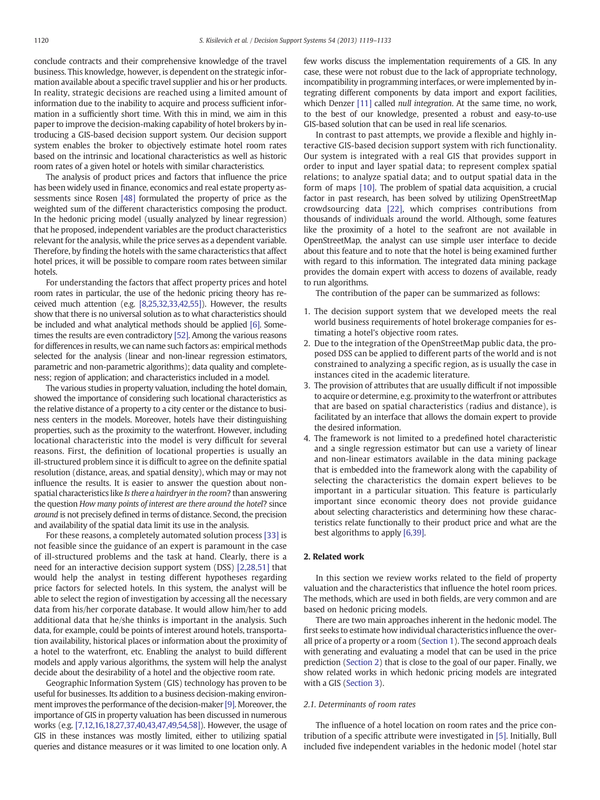conclude contracts and their comprehensive knowledge of the travel business. This knowledge, however, is dependent on the strategic information available about a specific travel supplier and his or her products. In reality, strategic decisions are reached using a limited amount of information due to the inability to acquire and process sufficient information in a sufficiently short time. With this in mind, we aim in this paper to improve the decision-making capability of hotel brokers by introducing a GIS-based decision support system. Our decision support system enables the broker to objectively estimate hotel room rates based on the intrinsic and locational characteristics as well as historic room rates of a given hotel or hotels with similar characteristics.

The analysis of product prices and factors that influence the price has been widely used in finance, economics and real estate property assessments since Rosen [\[48\]](#page--1-0) formulated the property of price as the weighted sum of the different characteristics composing the product. In the hedonic pricing model (usually analyzed by linear regression) that he proposed, independent variables are the product characteristics relevant for the analysis, while the price serves as a dependent variable. Therefore, by finding the hotels with the same characteristics that affect hotel prices, it will be possible to compare room rates between similar hotels.

For understanding the factors that affect property prices and hotel room rates in particular, the use of the hedonic pricing theory has received much attention (e.g. [\[8,25,32,33,42,55\]\)](#page--1-0). However, the results show that there is no universal solution as to what characteristics should be included and what analytical methods should be applied [\[6\].](#page--1-0) Sometimes the results are even contradictory [\[52\].](#page--1-0) Among the various reasons for differences in results, we can name such factors as: empirical methods selected for the analysis (linear and non-linear regression estimators, parametric and non-parametric algorithms); data quality and completeness; region of application; and characteristics included in a model.

The various studies in property valuation, including the hotel domain, showed the importance of considering such locational characteristics as the relative distance of a property to a city center or the distance to business centers in the models. Moreover, hotels have their distinguishing properties, such as the proximity to the waterfront. However, including locational characteristic into the model is very difficult for several reasons. First, the definition of locational properties is usually an ill-structured problem since it is difficult to agree on the definite spatial resolution (distance, areas, and spatial density), which may or may not influence the results. It is easier to answer the question about nonspatial characteristics like Is there a hairdryer in the room? than answering the question How many points of interest are there around the hotel? since around is not precisely defined in terms of distance. Second, the precision and availability of the spatial data limit its use in the analysis.

For these reasons, a completely automated solution process [\[33\]](#page--1-0) is not feasible since the guidance of an expert is paramount in the case of ill-structured problems and the task at hand. Clearly, there is a need for an interactive decision support system (DSS) [\[2,28,51\]](#page--1-0) that would help the analyst in testing different hypotheses regarding price factors for selected hotels. In this system, the analyst will be able to select the region of investigation by accessing all the necessary data from his/her corporate database. It would allow him/her to add additional data that he/she thinks is important in the analysis. Such data, for example, could be points of interest around hotels, transportation availability, historical places or information about the proximity of a hotel to the waterfront, etc. Enabling the analyst to build different models and apply various algorithms, the system will help the analyst decide about the desirability of a hotel and the objective room rate.

Geographic Information System (GIS) technology has proven to be useful for businesses. Its addition to a business decision-making environment improves the performance of the decision-maker [\[9\].](#page--1-0) Moreover, the importance of GIS in property valuation has been discussed in numerous works (e.g. [\[7,12,16,18,27,37,40,43,47,49,54,58\]\)](#page--1-0). However, the usage of GIS in these instances was mostly limited, either to utilizing spatial queries and distance measures or it was limited to one location only. A

few works discuss the implementation requirements of a GIS. In any case, these were not robust due to the lack of appropriate technology, incompatibility in programming interfaces, or were implemented by integrating different components by data import and export facilities, which Denzer [\[11\]](#page--1-0) called null integration. At the same time, no work, to the best of our knowledge, presented a robust and easy-to-use GIS-based solution that can be used in real life scenarios.

In contrast to past attempts, we provide a flexible and highly interactive GIS-based decision support system with rich functionality. Our system is integrated with a real GIS that provides support in order to input and layer spatial data; to represent complex spatial relations; to analyze spatial data; and to output spatial data in the form of maps [\[10\]](#page--1-0). The problem of spatial data acquisition, a crucial factor in past research, has been solved by utilizing OpenStreetMap crowdsourcing data [\[22\],](#page--1-0) which comprises contributions from thousands of individuals around the world. Although, some features like the proximity of a hotel to the seafront are not available in OpenStreetMap, the analyst can use simple user interface to decide about this feature and to note that the hotel is being examined further with regard to this information. The integrated data mining package provides the domain expert with access to dozens of available, ready to run algorithms.

The contribution of the paper can be summarized as follows:

- 1. The decision support system that we developed meets the real world business requirements of hotel brokerage companies for estimating a hotel's objective room rates.
- 2. Due to the integration of the OpenStreetMap public data, the proposed DSS can be applied to different parts of the world and is not constrained to analyzing a specific region, as is usually the case in instances cited in the academic literature.
- 3. The provision of attributes that are usually difficult if not impossible to acquire or determine, e.g. proximity to the waterfront or attributes that are based on spatial characteristics (radius and distance), is facilitated by an interface that allows the domain expert to provide the desired information.
- 4. The framework is not limited to a predefined hotel characteristic and a single regression estimator but can use a variety of linear and non-linear estimators available in the data mining package that is embedded into the framework along with the capability of selecting the characteristics the domain expert believes to be important in a particular situation. This feature is particularly important since economic theory does not provide guidance about selecting characteristics and determining how these characteristics relate functionally to their product price and what are the best algorithms to apply [\[6,39\]](#page--1-0).

### 2. Related work

In this section we review works related to the field of property valuation and the characteristics that influence the hotel room prices. The methods, which are used in both fields, are very common and are based on hedonic pricing models.

There are two main approaches inherent in the hedonic model. The first seeks to estimate how individual characteristics influence the overall price of a property or a room ([Section 1\)](#page-0-0). The second approach deals with generating and evaluating a model that can be used in the price prediction (Section 2) that is close to the goal of our paper. Finally, we show related works in which hedonic pricing models are integrated with a GIS ([Section 3](#page--1-0)).

### 2.1. Determinants of room rates

The influence of a hotel location on room rates and the price contribution of a specific attribute were investigated in [\[5\].](#page--1-0) Initially, Bull included five independent variables in the hedonic model (hotel star